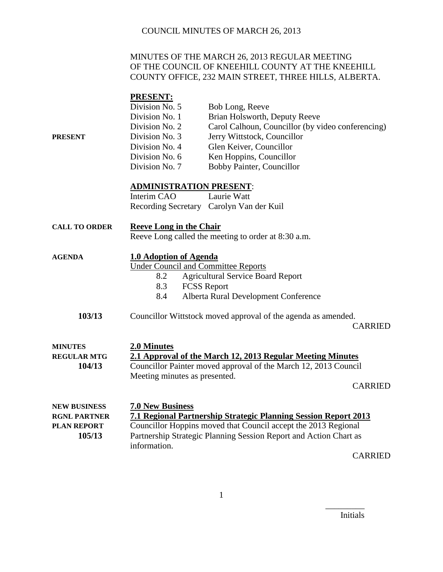#### MINUTES OF THE MARCH 26, 2013 REGULAR MEETING OF THE COUNCIL OF KNEEHILL COUNTY AT THE KNEEHILL COUNTY OFFICE, 232 MAIN STREET, THREE HILLS, ALBERTA.

| PRESENT                                                                    | <b>PRESENT:</b><br>Division No. 5<br>Division No. 1<br>Division No. 2<br>Division No. 3<br>Division No. 4<br>Division No. 6<br>Division No. 7 | Bob Long, Reeve<br>Brian Holsworth, Deputy Reeve<br>Carol Calhoun, Councillor (by video conferencing)<br>Jerry Wittstock, Councillor<br>Glen Keiver, Councillor<br>Ken Hoppins, Councillor<br>Bobby Painter, Councillor |  |  |
|----------------------------------------------------------------------------|-----------------------------------------------------------------------------------------------------------------------------------------------|-------------------------------------------------------------------------------------------------------------------------------------------------------------------------------------------------------------------------|--|--|
| <b>ADMINISTRATION PRESENT:</b>                                             |                                                                                                                                               |                                                                                                                                                                                                                         |  |  |
|                                                                            | Interim CAO                                                                                                                                   | Laurie Watt<br>Recording Secretary Carolyn Van der Kuil                                                                                                                                                                 |  |  |
| <b>CALL TO ORDER</b>                                                       | <b>Reeve Long in the Chair</b>                                                                                                                | Reeve Long called the meeting to order at 8:30 a.m.                                                                                                                                                                     |  |  |
| <b>AGENDA</b>                                                              | 1.0 Adoption of Agenda<br><b>Under Council and Committee Reports</b><br>8.2<br>8.3<br>8.4                                                     | <b>Agricultural Service Board Report</b><br><b>FCSS Report</b><br>Alberta Rural Development Conference                                                                                                                  |  |  |
| 103/13                                                                     |                                                                                                                                               | Councillor Wittstock moved approval of the agenda as amended.<br><b>CARRIED</b>                                                                                                                                         |  |  |
| <b>MINUTES</b><br><b>REGULAR MTG</b><br>104/13                             | 2.0 Minutes<br>Meeting minutes as presented.                                                                                                  | 2.1 Approval of the March 12, 2013 Regular Meeting Minutes<br>Councillor Painter moved approval of the March 12, 2013 Council<br><b>CARRIED</b>                                                                         |  |  |
| <b>NEW BUSINESS</b><br><b>RGNL PARTNER</b><br><b>PLAN REPORT</b><br>105/13 | <b>7.0 New Business</b><br>information.                                                                                                       | 7.1 Regional Partnership Strategic Planning Session Report 2013<br>Councillor Hoppins moved that Council accept the 2013 Regional<br>Partnership Strategic Planning Session Report and Action Chart as                  |  |  |

CARRIED

Initials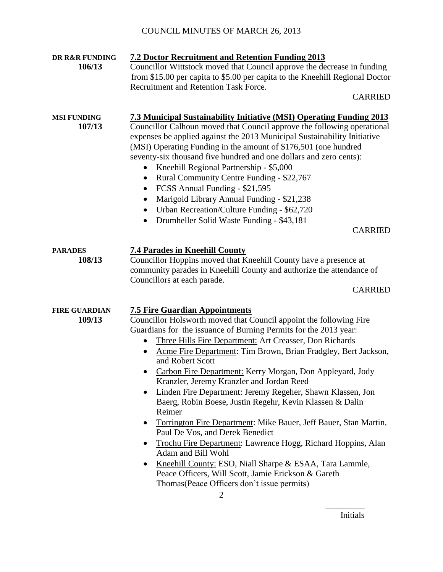| DR R&R FUNDING<br>106/13       | <b>7.2 Doctor Recruitment and Retention Funding 2013</b><br>Councillor Wittstock moved that Council approve the decrease in funding<br>from \$15.00 per capita to \$5.00 per capita to the Kneehill Regional Doctor<br>Recruitment and Retention Task Force.<br><b>CARRIED</b>                                                                                                                                                                                                                                                                                                                                                                                                                                                                                                                                                                                                                                                                                   |
|--------------------------------|------------------------------------------------------------------------------------------------------------------------------------------------------------------------------------------------------------------------------------------------------------------------------------------------------------------------------------------------------------------------------------------------------------------------------------------------------------------------------------------------------------------------------------------------------------------------------------------------------------------------------------------------------------------------------------------------------------------------------------------------------------------------------------------------------------------------------------------------------------------------------------------------------------------------------------------------------------------|
| <b>MSI FUNDING</b><br>107/13   | <b>7.3 Municipal Sustainability Initiative (MSI) Operating Funding 2013</b><br>Councillor Calhoun moved that Council approve the following operational<br>expenses be applied against the 2013 Municipal Sustainability Initiative<br>(MSI) Operating Funding in the amount of \$176,501 (one hundred<br>seventy-six thousand five hundred and one dollars and zero cents):<br>Kneehill Regional Partnership - \$5,000<br>$\bullet$<br>Rural Community Centre Funding - \$22,767<br>$\bullet$<br>FCSS Annual Funding - \$21,595<br>٠<br>Marigold Library Annual Funding - \$21,238<br>٠<br>Urban Recreation/Culture Funding - \$62,720<br>$\bullet$<br>Drumheller Solid Waste Funding - \$43,181<br>$\bullet$<br><b>CARRIED</b>                                                                                                                                                                                                                                  |
| <b>PARADES</b><br>108/13       | <b>7.4 Parades in Kneehill County</b><br>Councillor Hoppins moved that Kneehill County have a presence at<br>community parades in Kneehill County and authorize the attendance of<br>Councillors at each parade.<br><b>CARRIED</b>                                                                                                                                                                                                                                                                                                                                                                                                                                                                                                                                                                                                                                                                                                                               |
| <b>FIRE GUARDIAN</b><br>109/13 | <b>7.5 Fire Guardian Appointments</b><br>Councillor Holsworth moved that Council appoint the following Fire<br>Guardians for the issuance of Burning Permits for the 2013 year:<br>Three Hills Fire Department: Art Creasser, Don Richards<br>Acme Fire Department: Tim Brown, Brian Fradgley, Bert Jackson,<br>$\bullet$<br>and Robert Scott<br>• Carbon Fire Department: Kerry Morgan, Don Appleyard, Jody<br>Kranzler, Jeremy Kranzler and Jordan Reed<br>Linden Fire Department: Jeremy Regeher, Shawn Klassen, Jon<br>٠<br>Baerg, Robin Boese, Justin Regehr, Kevin Klassen & Dalin<br>Reimer<br>Torrington Fire Department: Mike Bauer, Jeff Bauer, Stan Martin,<br>Paul De Vos, and Derek Benedict<br>Trochu Fire Department: Lawrence Hogg, Richard Hoppins, Alan<br>Adam and Bill Wohl<br>Kneehill County: ESO, Niall Sharpe & ESAA, Tara Lammle,<br>Peace Officers, Will Scott, Jamie Erickson & Gareth<br>Thomas (Peace Officers don't issue permits) |

Initials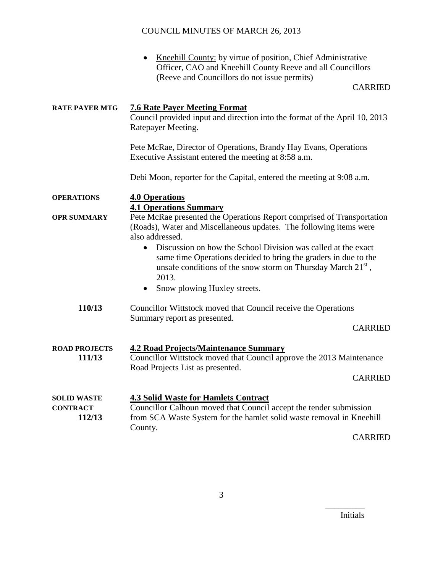• Kneehill County: by virtue of position, Chief Administrative Officer, CAO and Kneehill County Reeve and all Councillors (Reeve and Councillors do not issue permits)

#### CARRIED

| <b>RATE PAYER MTG</b>                           | <b>7.6 Rate Payer Meeting Format</b><br>Council provided input and direction into the format of the April 10, 2013<br>Ratepayer Meeting.                                                                                 |  |  |
|-------------------------------------------------|--------------------------------------------------------------------------------------------------------------------------------------------------------------------------------------------------------------------------|--|--|
|                                                 | Pete McRae, Director of Operations, Brandy Hay Evans, Operations<br>Executive Assistant entered the meeting at 8:58 a.m.                                                                                                 |  |  |
|                                                 | Debi Moon, reporter for the Capital, entered the meeting at 9:08 a.m.                                                                                                                                                    |  |  |
| <b>OPERATIONS</b>                               | <b>4.0 Operations</b><br><b>4.1 Operations Summary</b>                                                                                                                                                                   |  |  |
| <b>OPR SUMMARY</b>                              | Pete McRae presented the Operations Report comprised of Transportation<br>(Roads), Water and Miscellaneous updates. The following items were<br>also addressed.                                                          |  |  |
|                                                 | Discussion on how the School Division was called at the exact<br>$\bullet$<br>same time Operations decided to bring the graders in due to the<br>unsafe conditions of the snow storm on Thursday March $21st$ ,<br>2013. |  |  |
|                                                 | Snow plowing Huxley streets.<br>٠                                                                                                                                                                                        |  |  |
| 110/13                                          | Councillor Wittstock moved that Council receive the Operations<br>Summary report as presented.                                                                                                                           |  |  |
|                                                 | <b>CARRIED</b>                                                                                                                                                                                                           |  |  |
| <b>ROAD PROJECTS</b><br>111/13                  | <b>4.2 Road Projects/Maintenance Summary</b><br>Councillor Wittstock moved that Council approve the 2013 Maintenance<br>Road Projects List as presented.                                                                 |  |  |
|                                                 | <b>CARRIED</b>                                                                                                                                                                                                           |  |  |
| <b>SOLID WASTE</b><br><b>CONTRACT</b><br>112/13 | <b>4.3 Solid Waste for Hamlets Contract</b><br>Councillor Calhoun moved that Council accept the tender submission<br>from SCA Waste System for the hamlet solid waste removal in Kneehill<br>County.                     |  |  |

CARRIED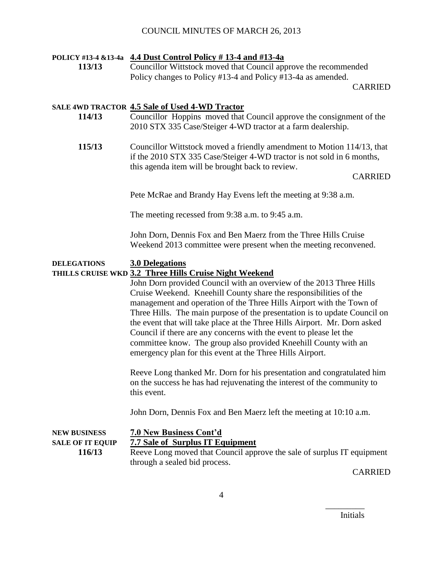#### **POLICY #13-4 &13-4a 4.4 Dust Control Policy # 13-4 and #13-4a**

**113/13** Councillor Wittstock moved that Council approve the recommended Policy changes to Policy #13-4 and Policy #13-4a as amended.

CARRIED

#### **SALE 4WD TRACTOR 4.5 Sale of Used 4-WD Tractor**

- **114/13** Councillor Hoppins moved that Council approve the consignment of the 2010 STX 335 Case/Steiger 4-WD tractor at a farm dealership.
- **115/13** Councillor Wittstock moved a friendly amendment to Motion 114/13, that if the 2010 STX 335 Case/Steiger 4-WD tractor is not sold in 6 months, this agenda item will be brought back to review.

#### CARRIED

Pete McRae and Brandy Hay Evens left the meeting at 9:38 a.m.

The meeting recessed from 9:38 a.m. to 9:45 a.m.

John Dorn, Dennis Fox and Ben Maerz from the Three Hills Cruise Weekend 2013 committee were present when the meeting reconvened.

#### **DELEGATIONS 3.0 Delegations**

#### **THILLS CRUISE WKD 3.2 Three Hills Cruise Night Weekend**

John Dorn provided Council with an overview of the 2013 Three Hills Cruise Weekend. Kneehill County share the responsibilities of the management and operation of the Three Hills Airport with the Town of Three Hills. The main purpose of the presentation is to update Council on the event that will take place at the Three Hills Airport. Mr. Dorn asked Council if there are any concerns with the event to please let the committee know. The group also provided Kneehill County with an emergency plan for this event at the Three Hills Airport.

Reeve Long thanked Mr. Dorn for his presentation and congratulated him on the success he has had rejuvenating the interest of the community to this event.

John Dorn, Dennis Fox and Ben Maerz left the meeting at 10:10 a.m.

**NEW BUSINESS 7.0 New Business Cont'd SALE OF IT EQUIP 7.7 Sale of Surplus IT Equipment**

**116/13** Reeve Long moved that Council approve the sale of surplus IT equipment through a sealed bid process.

CARRIED

Initials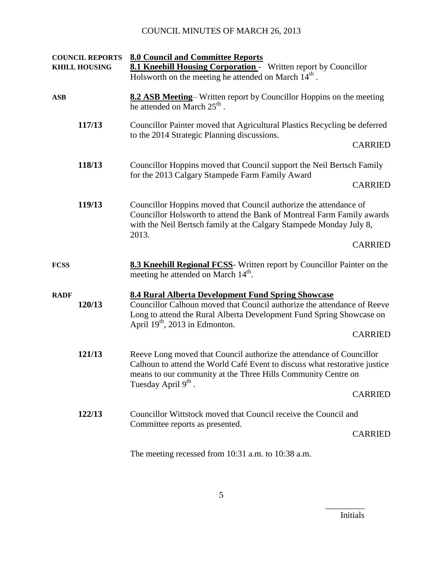|             | <b>COUNCIL REPORTS</b><br><b>KHILL HOUSING</b>                                                                                                                                                                                                                   | <b>8.0 Council and Committee Reports</b><br><b>8.1 Kneehill Housing Corporation -</b> Written report by Councillor<br>Holsworth on the meeting he attended on March $14th$ .                                                              |  |
|-------------|------------------------------------------------------------------------------------------------------------------------------------------------------------------------------------------------------------------------------------------------------------------|-------------------------------------------------------------------------------------------------------------------------------------------------------------------------------------------------------------------------------------------|--|
| <b>ASB</b>  |                                                                                                                                                                                                                                                                  | 8.2 ASB Meeting-Written report by Councillor Hoppins on the meeting<br>he attended on March 25 <sup>th</sup> .                                                                                                                            |  |
| 117/13      |                                                                                                                                                                                                                                                                  | Councillor Painter moved that Agricultural Plastics Recycling be deferred<br>to the 2014 Strategic Planning discussions.                                                                                                                  |  |
|             |                                                                                                                                                                                                                                                                  | <b>CARRIED</b>                                                                                                                                                                                                                            |  |
|             | 118/13<br>Councillor Hoppins moved that Council support the Neil Bertsch Family<br>for the 2013 Calgary Stampede Farm Family Award                                                                                                                               |                                                                                                                                                                                                                                           |  |
|             |                                                                                                                                                                                                                                                                  | <b>CARRIED</b>                                                                                                                                                                                                                            |  |
|             | 119/13<br>Councillor Hoppins moved that Council authorize the attendance of<br>Councillor Holsworth to attend the Bank of Montreal Farm Family awards<br>with the Neil Bertsch family at the Calgary Stampede Monday July 8,<br>2013.                            |                                                                                                                                                                                                                                           |  |
|             |                                                                                                                                                                                                                                                                  | <b>CARRIED</b>                                                                                                                                                                                                                            |  |
| <b>FCSS</b> |                                                                                                                                                                                                                                                                  | 8.3 Kneehill Regional FCSS- Written report by Councillor Painter on the<br>meeting he attended on March 14 <sup>th</sup> .                                                                                                                |  |
| <b>RADF</b> | 120/13                                                                                                                                                                                                                                                           | 8.4 Rural Alberta Development Fund Spring Showcase<br>Councillor Calhoun moved that Council authorize the attendance of Reeve<br>Long to attend the Rural Alberta Development Fund Spring Showcase on<br>April $19th$ , 2013 in Edmonton. |  |
|             |                                                                                                                                                                                                                                                                  | <b>CARRIED</b>                                                                                                                                                                                                                            |  |
|             | 121/13<br>Reeve Long moved that Council authorize the attendance of Councillor<br>Calhoun to attend the World Café Event to discuss what restorative justice<br>means to our community at the Three Hills Community Centre on<br>Tuesday April 9 <sup>th</sup> . |                                                                                                                                                                                                                                           |  |
|             | <b>CARRIED</b>                                                                                                                                                                                                                                                   |                                                                                                                                                                                                                                           |  |
|             | 122/13                                                                                                                                                                                                                                                           | Councillor Wittstock moved that Council receive the Council and                                                                                                                                                                           |  |
|             | Committee reports as presented.<br><b>CARRIED</b>                                                                                                                                                                                                                |                                                                                                                                                                                                                                           |  |
|             |                                                                                                                                                                                                                                                                  | The meeting recessed from $10:31$ a.m. to $10:38$ a.m.                                                                                                                                                                                    |  |

Initials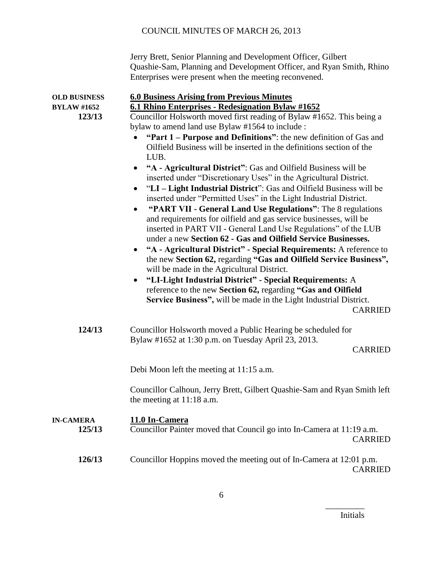|                                                     | Jerry Brett, Senior Planning and Development Officer, Gilbert<br>Quashie-Sam, Planning and Development Officer, and Ryan Smith, Rhino<br>Enterprises were present when the meeting reconvened.                                                                                                                                                                                                                                                                                                                                                                                                                                                                                                                                                                                                                                                                                                                                                                                                                                                                                                                                                                                                                                                                                                                                                                                                         |  |
|-----------------------------------------------------|--------------------------------------------------------------------------------------------------------------------------------------------------------------------------------------------------------------------------------------------------------------------------------------------------------------------------------------------------------------------------------------------------------------------------------------------------------------------------------------------------------------------------------------------------------------------------------------------------------------------------------------------------------------------------------------------------------------------------------------------------------------------------------------------------------------------------------------------------------------------------------------------------------------------------------------------------------------------------------------------------------------------------------------------------------------------------------------------------------------------------------------------------------------------------------------------------------------------------------------------------------------------------------------------------------------------------------------------------------------------------------------------------------|--|
| <b>OLD BUSINESS</b><br><b>BYLAW #1652</b><br>123/13 | <b>6.0 Business Arising from Previous Minutes</b><br>6.1 Rhino Enterprises - Redesignation Bylaw #1652<br>Councillor Holsworth moved first reading of Bylaw #1652. This being a<br>bylaw to amend land use Bylaw #1564 to include :<br>"Part 1 – Purpose and Definitions": the new definition of Gas and<br>Oilfield Business will be inserted in the definitions section of the<br>LUB.<br>"A - Agricultural District": Gas and Oilfield Business will be<br>inserted under "Discretionary Uses" in the Agricultural District.<br>"LI-Light Industrial District": Gas and Oilfield Business will be<br>inserted under "Permitted Uses" in the Light Industrial District.<br>"PART VII - General Land Use Regulations": The 8 regulations<br>$\bullet$<br>and requirements for oilfield and gas service businesses, will be<br>inserted in PART VII - General Land Use Regulations" of the LUB<br>under a new Section 62 - Gas and Oilfield Service Businesses.<br>"A - Agricultural District" - Special Requirements: A reference to<br>$\bullet$<br>the new Section 62, regarding "Gas and Oilfield Service Business",<br>will be made in the Agricultural District.<br>"LI-Light Industrial District" - Special Requirements: A<br>$\bullet$<br>reference to the new Section 62, regarding "Gas and Oilfield<br>Service Business", will be made in the Light Industrial District.<br><b>CARRIED</b> |  |
| 124/13                                              | Councillor Holsworth moved a Public Hearing be scheduled for<br>Bylaw #1652 at 1:30 p.m. on Tuesday April 23, 2013.<br><b>CARRIED</b>                                                                                                                                                                                                                                                                                                                                                                                                                                                                                                                                                                                                                                                                                                                                                                                                                                                                                                                                                                                                                                                                                                                                                                                                                                                                  |  |
|                                                     | Debi Moon left the meeting at 11:15 a.m.                                                                                                                                                                                                                                                                                                                                                                                                                                                                                                                                                                                                                                                                                                                                                                                                                                                                                                                                                                                                                                                                                                                                                                                                                                                                                                                                                               |  |
|                                                     | Councillor Calhoun, Jerry Brett, Gilbert Quashie-Sam and Ryan Smith left<br>the meeting at 11:18 a.m.                                                                                                                                                                                                                                                                                                                                                                                                                                                                                                                                                                                                                                                                                                                                                                                                                                                                                                                                                                                                                                                                                                                                                                                                                                                                                                  |  |
| <b>IN-CAMERA</b><br>125/13                          | 11.0 In-Camera<br>Councillor Painter moved that Council go into In-Camera at 11:19 a.m.<br><b>CARRIED</b>                                                                                                                                                                                                                                                                                                                                                                                                                                                                                                                                                                                                                                                                                                                                                                                                                                                                                                                                                                                                                                                                                                                                                                                                                                                                                              |  |
| 126/13                                              | Councillor Hoppins moved the meeting out of In-Camera at 12:01 p.m.<br><b>CARRIED</b>                                                                                                                                                                                                                                                                                                                                                                                                                                                                                                                                                                                                                                                                                                                                                                                                                                                                                                                                                                                                                                                                                                                                                                                                                                                                                                                  |  |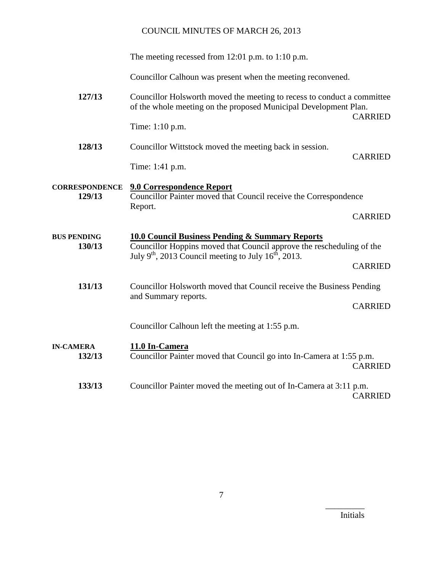|                                 | The meeting recessed from $12:01$ p.m. to $1:10$ p.m.                                                                                                                                           |                |  |
|---------------------------------|-------------------------------------------------------------------------------------------------------------------------------------------------------------------------------------------------|----------------|--|
|                                 | Councillor Calhoun was present when the meeting reconvened.                                                                                                                                     |                |  |
| 127/13                          | Councillor Holsworth moved the meeting to recess to conduct a committee<br>of the whole meeting on the proposed Municipal Development Plan.<br><b>CARRIED</b>                                   |                |  |
|                                 | Time: 1:10 p.m.                                                                                                                                                                                 |                |  |
| 128/13                          | Councillor Wittstock moved the meeting back in session.                                                                                                                                         | <b>CARRIED</b> |  |
|                                 | Time: 1:41 p.m.                                                                                                                                                                                 |                |  |
| <b>CORRESPONDENCE</b><br>129/13 | <b>9.0 Correspondence Report</b><br>Councillor Painter moved that Council receive the Correspondence                                                                                            |                |  |
|                                 | Report.                                                                                                                                                                                         | <b>CARRIED</b> |  |
| <b>BUS PENDING</b><br>130/13    | <b>10.0 Council Business Pending &amp; Summary Reports</b><br>Councillor Hoppins moved that Council approve the rescheduling of the<br>July $9th$ , 2013 Council meeting to July $16th$ , 2013. |                |  |
|                                 |                                                                                                                                                                                                 | <b>CARRIED</b> |  |
| 131/13                          | Councillor Holsworth moved that Council receive the Business Pending<br>and Summary reports.                                                                                                    |                |  |
|                                 |                                                                                                                                                                                                 | <b>CARRIED</b> |  |
|                                 | Councillor Calhoun left the meeting at 1:55 p.m.                                                                                                                                                |                |  |
| <b>IN-CAMERA</b><br>132/13      | 11.0 In-Camera<br>Councillor Painter moved that Council go into In-Camera at 1:55 p.m.                                                                                                          | <b>CARRIED</b> |  |
| 133/13                          | Councillor Painter moved the meeting out of In-Camera at 3:11 p.m.                                                                                                                              | <b>CARRIED</b> |  |